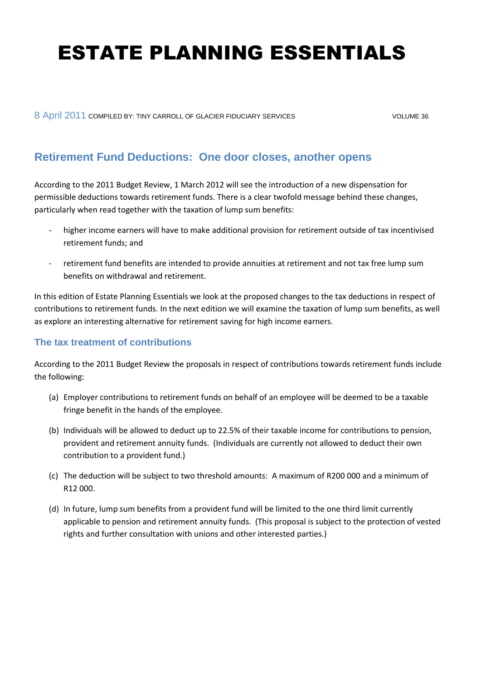# ESTATE PLANNING ESSENTIALS

8 April 2011 COMPILED BY: TINY CARROLL OF GLACIER FIDUCIARY SERVICES VOLUME 36

## **Retirement Fund Deductions: One door closes, another opens**

According to the 2011 Budget Review, 1 March 2012 will see the introduction of a new dispensation for permissible deductions towards retirement funds. There is a clear twofold message behind these changes, particularly when read together with the taxation of lump sum benefits:

- higher income earners will have to make additional provision for retirement outside of tax incentivised retirement funds; and
- retirement fund benefits are intended to provide annuities at retirement and not tax free lump sum benefits on withdrawal and retirement.

In this edition of Estate Planning Essentials we look at the proposed changes to the tax deductions in respect of contributions to retirement funds. In the next edition we will examine the taxation of lump sum benefits, as well as explore an interesting alternative for retirement saving for high income earners.

### **The tax treatment of contributions**

According to the 2011 Budget Review the proposals in respect of contributions towards retirement funds include the following:

- (a) Employer contributions to retirement funds on behalf of an employee will be deemed to be a taxable fringe benefit in the hands of the employee.
- (b) Individuals will be allowed to deduct up to 22.5% of their taxable income for contributions to pension, provident and retirement annuity funds. (Individuals are currently not allowed to deduct their own contribution to a provident fund.)
- (c) The deduction will be subject to two threshold amounts: A maximum of R200 000 and a minimum of R12 000.
- (d) In future, lump sum benefits from a provident fund will be limited to the one third limit currently applicable to pension and retirement annuity funds. (This proposal is subject to the protection of vested rights and further consultation with unions and other interested parties.)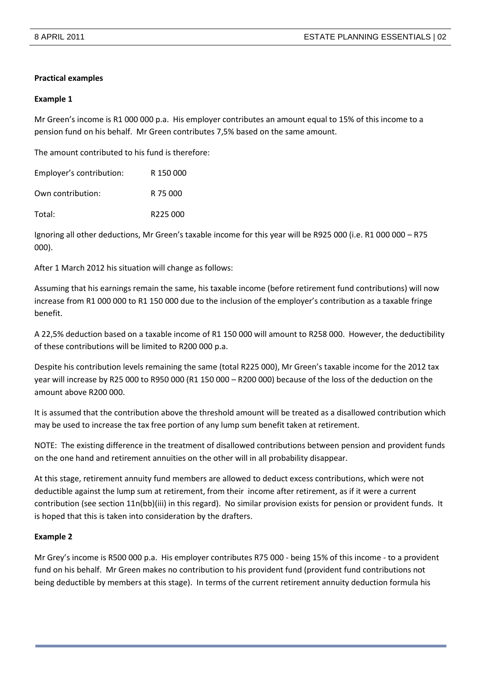#### **Practical examples**

#### **Example 1**

Mr Green's income is R1 000 000 p.a. His employer contributes an amount equal to 15% of this income to a pension fund on his behalf. Mr Green contributes 7,5% based on the same amount.

The amount contributed to his fund is therefore:

| Employer's contribution: | R 150 000            |
|--------------------------|----------------------|
| Own contribution:        | R 75 000             |
| Total:                   | R <sub>225</sub> 000 |

Ignoring all other deductions, Mr Green's taxable income for this year will be R925 000 (i.e. R1 000 000 – R75 000).

After 1 March 2012 his situation will change as follows:

Assuming that his earnings remain the same, his taxable income (before retirement fund contributions) will now increase from R1 000 000 to R1 150 000 due to the inclusion of the employer's contribution as a taxable fringe benefit.

A 22,5% deduction based on a taxable income of R1 150 000 will amount to R258 000. However, the deductibility of these contributions will be limited to R200 000 p.a.

Despite his contribution levels remaining the same (total R225 000), Mr Green's taxable income for the 2012 tax year will increase by R25 000 to R950 000 (R1 150 000 – R200 000) because of the loss of the deduction on the amount above R200 000.

It is assumed that the contribution above the threshold amount will be treated as a disallowed contribution which may be used to increase the tax free portion of any lump sum benefit taken at retirement.

NOTE: The existing difference in the treatment of disallowed contributions between pension and provident funds on the one hand and retirement annuities on the other will in all probability disappear.

At this stage, retirement annuity fund members are allowed to deduct excess contributions, which were not deductible against the lump sum at retirement, from their income after retirement, as if it were a current contribution (see section 11n(bb)(iii) in this regard). No similar provision exists for pension or provident funds. It is hoped that this is taken into consideration by the drafters.

#### **Example 2**

Mr Grey's income is R500 000 p.a. His employer contributes R75 000 - being 15% of this income - to a provident fund on his behalf. Mr Green makes no contribution to his provident fund (provident fund contributions not being deductible by members at this stage). In terms of the current retirement annuity deduction formula his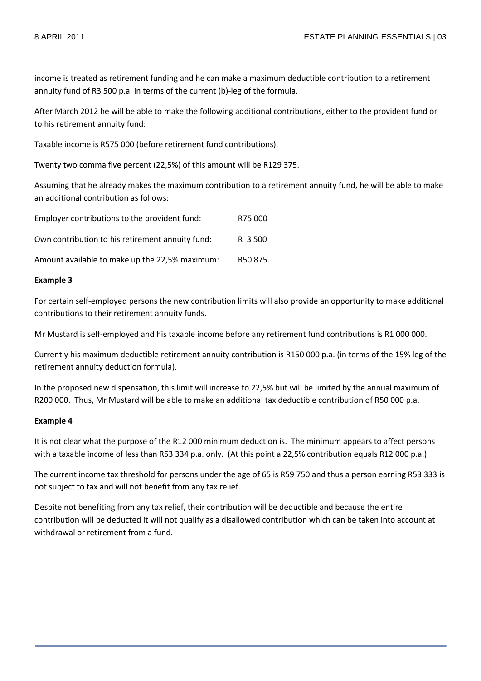income is treated as retirement funding and he can make a maximum deductible contribution to a retirement annuity fund of R3 500 p.a. in terms of the current (b)-leg of the formula.

After March 2012 he will be able to make the following additional contributions, either to the provident fund or to his retirement annuity fund:

Taxable income is R575 000 (before retirement fund contributions).

Twenty two comma five percent (22,5%) of this amount will be R129 375.

Assuming that he already makes the maximum contribution to a retirement annuity fund, he will be able to make an additional contribution as follows:

| Employer contributions to the provident fund:    | R75 000  |
|--------------------------------------------------|----------|
| Own contribution to his retirement annuity fund: | R 3 500  |
| Amount available to make up the 22,5% maximum:   | R50 875. |

#### **Example 3**

For certain self-employed persons the new contribution limits will also provide an opportunity to make additional contributions to their retirement annuity funds.

Mr Mustard is self-employed and his taxable income before any retirement fund contributions is R1 000 000.

Currently his maximum deductible retirement annuity contribution is R150 000 p.a. (in terms of the 15% leg of the retirement annuity deduction formula).

In the proposed new dispensation, this limit will increase to 22,5% but will be limited by the annual maximum of R200 000. Thus, Mr Mustard will be able to make an additional tax deductible contribution of R50 000 p.a.

#### **Example 4**

It is not clear what the purpose of the R12 000 minimum deduction is. The minimum appears to affect persons with a taxable income of less than R53 334 p.a. only. (At this point a 22,5% contribution equals R12 000 p.a.)

The current income tax threshold for persons under the age of 65 is R59 750 and thus a person earning R53 333 is not subject to tax and will not benefit from any tax relief.

Despite not benefiting from any tax relief, their contribution will be deductible and because the entire contribution will be deducted it will not qualify as a disallowed contribution which can be taken into account at withdrawal or retirement from a fund.